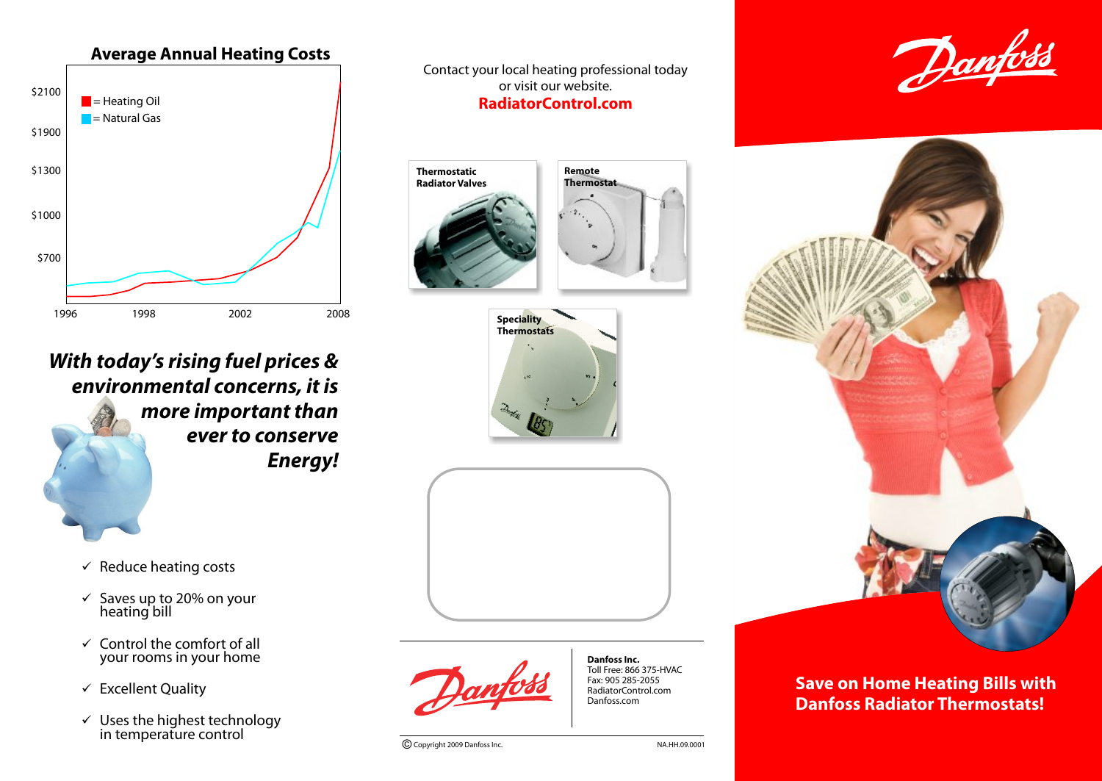

*With today's rising fuel prices & environmental concerns, it is more important than ever to conserve Energy!*

- $\checkmark$  Reduce heating costs
- $\checkmark$  Saves up to 20% on your heating bill
- $\checkmark$  Control the comfort of all your rooms in your home
- $\checkmark$  Excellent Quality
- $\checkmark$  Uses the highest technology in temperature control

Contact your local heating professional today or visit our website. **RadiatorControl.com**









**Danfoss Inc.** Toll Free: 866 375-HVAC Fax: 905 285-2055 RadiatorControl.com Danfoss.com

© Copyright 2009 Danfoss Inc. NA.HH.09.0001





**Save on Home Heating Bills with Danfoss Radiator Thermostats!**